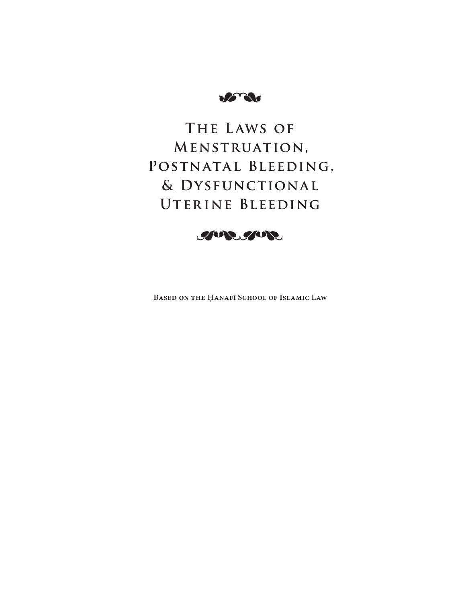**DETAI** 

# **The L aws of Menstruation, Postnatal Bleeding, & Dysfunctional**  UTERINE BLEEDING



**BASED ON THE ḤANAFī SCHOOL OF ISLAMIC LAW**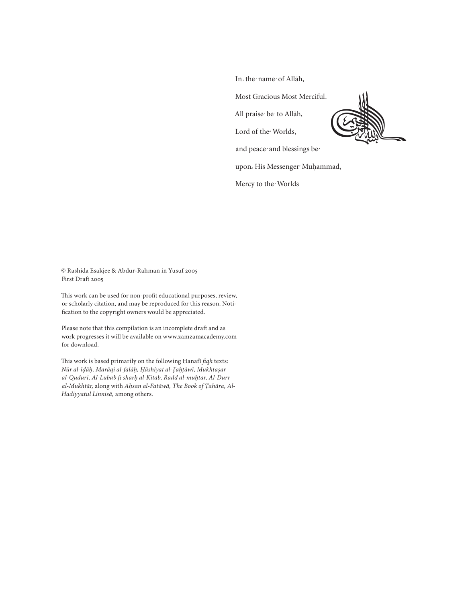In the name of Allāh,

Most Gracious Most Merciful.

All praise be to Allāh,

Lord of the Worlds,

and peace and blessings be

upon His Messenger Muḥammad,

Mercy to the Worlds

© Rashida Esakjee & Abdur-Rahman in Yusuf 2005 First Draft 2005

This work can be used for non-profit educational purposes, review, or scholarly citation, and may be reproduced for this reason. Notification to the copyright owners would be appreciated.

Please note that this compilation is an incomplete draft and as work progresses it will be available on www.zamzamacademy.com for download.

This work is based primarily on the following Ḥanafī *fiqh* texts: *Nūr al-īḍāḥ, Marāqī al-falāḥ, Ḥāshiyat al- Ṭaḥṭāwī, Mukhtaṣar al-Qudūri, Al-Lubāb fī sharḥ al-Kit al-Kitāb, Radd al-muḥtār, Al-Durr al-Mukhtār,* along with *Aḥsan al-Fatāwā, The Book of Ṭahāra, Al-Hadiyyatul Linnisā,* among others.

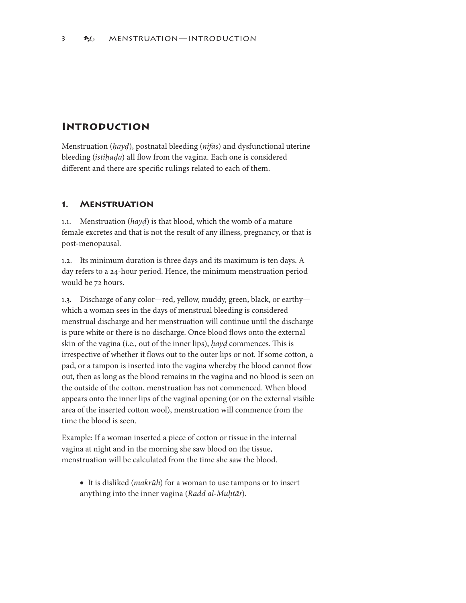## **Introduction**

Menstruation (*ḥayḍ*), postnatal bleeding (*nifās*) and dysfunctional uterine bleeding (*istiḥāḍa*) all flow from the vagina. Each one is considered different and there are specific rulings related to each of them.

#### **. Menstruation**

.. Menstruation (*hayḍ*) is that blood, which the womb of a mature female excretes and that is not the result of any illness, pregnancy, or that is post-menopausal.

.2. Its minimum duration is three days and its maximum is ten days. A day refers to a 24-hour period. Hence, the minimum menstruation period would be 72 hours.

.3. Discharge of any color—red, yellow, muddy, green, black, or earthy which a woman sees in the days of menstrual bleeding is considered menstrual discharge and her menstruation will continue until the discharge is pure white or there is no discharge. Once blood flows onto the external skin of the vagina (i.e., out of the inner lips), *hayd* commences. This is irrespective of whether it flows out to the outer lips or not. If some cotton, a pad, or a tampon is inserted into the vagina whereby the blood cannot flow out, then as long as the blood remains in the vagina and no blood is seen on the outside of the cotton, menstruation has not commenced. When blood appears onto the inner lips of the vaginal opening (or on the external visible area of the inserted cotton wool), menstruation will commence from the time the blood is seen.

Example: If a woman inserted a piece of cotton or tissue in the internal vagina at night and in the morning she saw blood on the tissue, menstruation will be calculated from the time she saw the blood.

• It is disliked (*makrūh*) for a woman to use tampons or to insert anything into the inner vagina (*Radd al-Muḥtār*).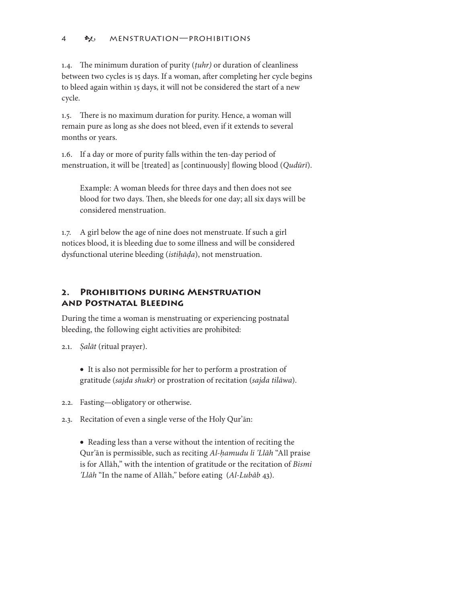.4. The minimum duration of purity (*ṭuhr)* or duration of cleanliness between two cycles is 15 days. If a woman, after completing her cycle begins to bleed again within 15 days, it will not be considered the start of a new cycle.

.5. There is no maximum duration for purity. Hence, a woman will remain pure as long as she does not bleed, even if it extends to several months or years.

.6. If a day or more of purity falls within the ten-day period of menstruation, it will be [treated] as [continuously] flowing blood (*Qudūrī*).

Example: A woman bleeds for three days and then does not see blood for two days. Then, she bleeds for one day; all six days will be considered menstruation.

.7. A girl below the age of nine does not menstruate. If such a girl notices blood, it is bleeding due to some illness and will be considered dysfunctional uterine bleeding (*istiḥāḍa*), not menstruation.

## **2. Prohibitions during Menstruation and Postnatal Bleeding**

During the time a woman is menstruating or experiencing postnatal bleeding, the following eight activities are prohibited:

2.1. *Şalāt* (ritual prayer).

• It is also not permissible for her to perform a prostration of gratitude (*sajda shukr* ) or prostration of recitation ( *sajda tilāwa*).

2.2. Fasting—obligatory or otherwise.

2.3. Recitation of even a single verse of the Holy Qur'ān:

• Reading less than a verse without the intention of reciting the Qur'ān is permissible, such as reciting *Al-ḥamudu li 'Llāh* "All praise is for Allāh," with the intention of gratitude or the recitation of *Bismi 'Llāh* "In the name of Allāh," before eating (*Al-Lubāb* 43).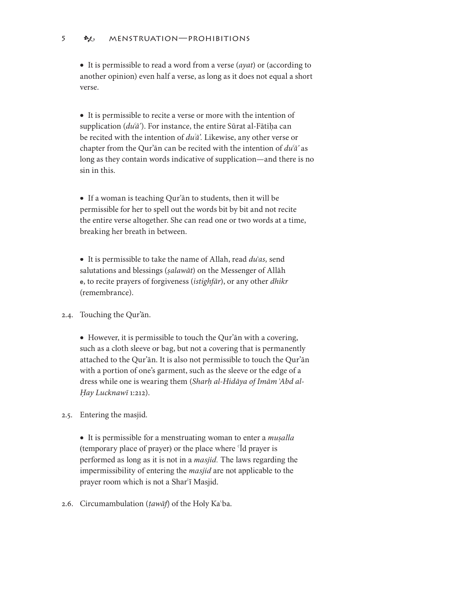#### 5 BE MENSTRUATION—PROHIBITIONS

• It is permissible to read a word from a verse (*āyat*) or (according to another opinion) even half a verse, as long as it does not equal a short verse.

• It is permissible to recite a verse or more with the intention of supplication (*duʿā'*). For instance, the entire Sūrat al-Fātiḥa can be recited with the intention of *duʿā'.* Likewise, any other verse or chapter from the Qur'ān can be recited with the intention of *duʿā'* as long as they contain words indicative of supplication—and there is no sin in this.

• If a woman is teaching Qur'ān to students, then it will be permissible for her to spell out the words bit by bit and not recite the entire verse altogether. She can read one or two words at a time, breaking her breath in between.

• It is permissible to take the name of Allah, read *duʿās,* send salutations and blessings (*ṣalawāt*) on the Messenger of Allāh e, to recite prayers of forgiveness (*istighfār* ), or any other *dhikr* (remembrance).

2.4. Touching the Qur'ān.

• However, it is permissible to touch the Qur'ān with a covering, such as a cloth sleeve or bag, but not a covering that is permanently attached to the Qur'ān. It is also not permissible to touch the Qur'ān with a portion of one's garment, such as the sleeve or the edge of a dress while one is wearing them (*Sharḥ al-Hidāya of Imām ʿAbd al- al-Hay Lucknawī* 1:212).

2.5. Entering the masjid.

• It is permissible for a menstruating woman to enter a *muṣalla* (temporary place of prayer) or the place where ʿĪd prayer is performed as long as it is not in a *masjid.* The laws regarding the impermissibility of entering the *masjid* are not applicable to the prayer room which is not a Shar'ī Masjid.

2.6. Circumambulation (*ṭawāf*) of the Holy Ka ʿba.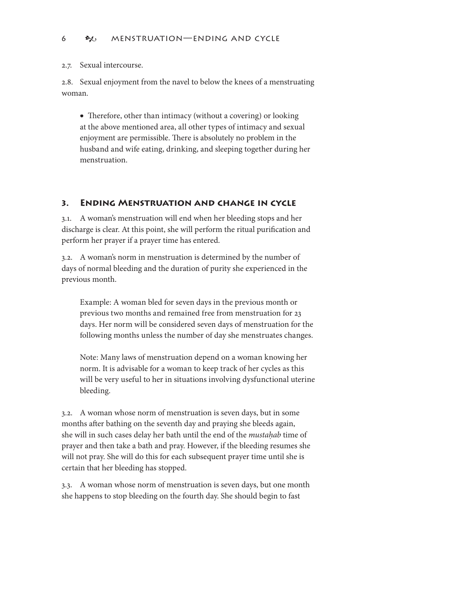2.7. Sexual intercourse.

2.8. Sexual enjoyment from the navel to below the knees of a menstruating woman.

• Therefore, other than intimacy (without a covering) or looking at the above mentioned area, all other types of intimacy and sexual enjoyment are permissible. There is absolutely no problem in the husband and wife eating, drinking, and sleeping together during her menstruation.

## **3. Ending Menstruation and change in cycle**

3.. A woman's menstruation will end when her bleeding stops and her discharge is clear. At this point, she will perform the ritual purification and perform her prayer if a prayer time has entered.

3.2. A woman's norm in menstruation is determined by the number of days of normal bleeding and the duration of purity she experienced in the previous month.

Example: A woman bled for seven days in the previous month or previous two months and remained free from menstruation for 23 days. Her norm will be considered seven days of menstruation for the following months unless the number of day she menstruates changes.

Note: Many laws of menstruation depend on a woman knowing her norm. It is advisable for a woman to keep track of her cycles as this will be very useful to her in situations involving dysfunctional uterine bleeding.

3.2. A woman whose norm of menstruation is seven days, but in some months after bathing on the seventh day and praying she bleeds again, she will in such cases delay her bath until the end of the *mustaḥab* time of prayer and then take a bath and pray. However, if the bleeding resumes she will not pray. She will do this for each subsequent prayer time until she is certain that her bleeding has stopped.

3.3. A woman whose norm of menstruation is seven days, but one month she happens to stop bleeding on the fourth day. She should begin to fast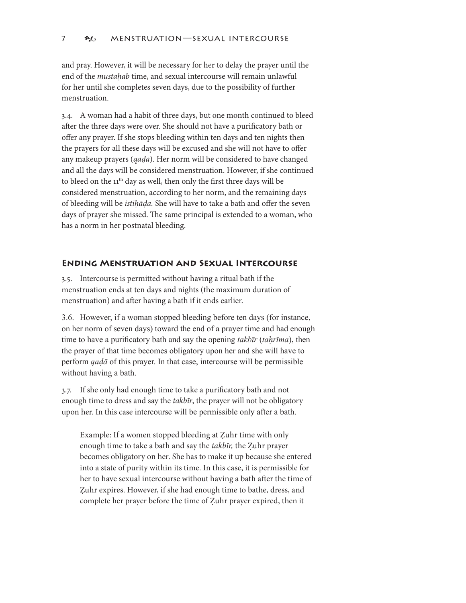and pray. However, it will be necessary for her to delay the prayer until the end of the *mustahab* time, and sexual intercourse will remain unlawful for her until she completes seven days, due to the possibility of further menstruation.

3.4. A woman had a habit of three days, but one month continued to bleed after the three days were over. She should not have a purificatory bath or offer any prayer. If she stops bleeding within ten days and ten nights then the prayers for all these days will be excused and she will not have to offer any makeup prayers (*qaḍā*). Her norm will be considered to have changed and all the days will be considered menstruation. However, if she continued to bleed on the 11<sup>th</sup> day as well, then only the first three days will be considered menstruation, according to her norm, and the remaining days of bleeding will be *istiḥāḍa.* She will have to take a bath and offer the seven days of prayer she missed. The same principal is extended to a woman, who has a norm in her postnatal bleeding.

## **Ending Menstruation and Sexual Intercourse**

3.5. Intercourse is permitted without having a ritual bath if the menstruation ends at ten days and nights (the maximum duration of menstruation) and after having a bath if it ends earlier.

3.6. However, if a woman stopped bleeding before ten days (for instance, on her norm of seven days) toward the end of a prayer time and had enough time to have a purificatory bath and say the opening *takbīr* (*taḥrīma*), then the prayer of that time becomes obligatory upon her and she will have to perform *qaḍā* of this prayer. In that case, intercourse will be permissible without having a bath.

3.7. If she only had enough time to take a purificatory bath and not enough time to dress and say the *takbīr*, the prayer will not be obligatory upon her. In this case intercourse will be permissible only after a bath.

Example: If a women stopped bleeding at Ẓuhr time with only enough time to take a bath and say the *takbīr,* the Ẓuhr prayer becomes obligatory on her. She has to make it up because she entered into a state of purity within its time. In this case, it is permissible for her to have sexual intercourse without having a bath after the time of Ẓuhr expires. However, if she had enough time to bathe, dress, and complete her prayer before the time of Ẓuhr prayer expired, then it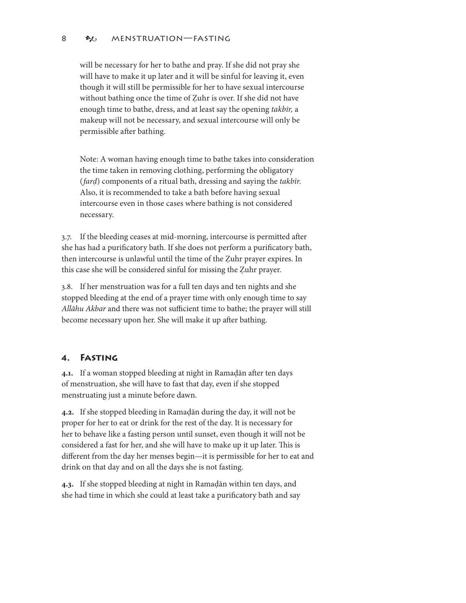#### 8 **BL** MENSTRUATION—FASTING

will be necessary for her to bathe and pray. If she did not pray she will have to make it up later and it will be sinful for leaving it, even though it will still be permissible for her to have sexual intercourse without bathing once the time of Zuhr is over. If she did not have enough time to bathe, dress, and at least say the opening *takbīr,* a makeup will not be necessary, and sexual intercourse will only be permissible after bathing.

Note: A woman having enough time to bathe takes into consideration the time taken in removing clothing, performing the obligatory (*farḍ*) components of a ritual bath, dressing and saying the *takbīr.* Also, it is recommended to take a bath before having sexual intercourse even in those cases where bathing is not considered necessary.

3.7. If the bleeding ceases at mid-morning, intercourse is permitted after she has had a purificatory bath. If she does not perform a purificatory bath, then intercourse is unlawful until the time of the Ẓuhr prayer expires. In this case she will be considered sinful for missing the Ẓuhr prayer.

3.8. If her menstruation was for a full ten days and ten nights and she stopped bleeding at the end of a prayer time with only enough time to say *Allāhu Akbar* and there was not sufficient time to bathe; the prayer will still become necessary upon her. She will make it up after bathing.

## **4. Fasting**

**4..** If a woman stopped bleeding at night in Ramaḍān after ten days of menstruation, she will have to fast that day, even if she stopped menstruating just a minute before dawn.

**4.2.** If she stopped bleeding in Ramaḍān during the day, it will not be proper for her to eat or drink for the rest of the day. It is necessary for her to behave like a fasting person until sunset, even though it will not be considered a fast for her, and she will have to make up it up later. This is different from the day her menses begin—it is permissible for her to eat and drink on that day and on all the days she is not fasting.

**4.3.** If she stopped bleeding at night in Ramaḍān within ten days, and she had time in which she could at least take a purificatory bath and say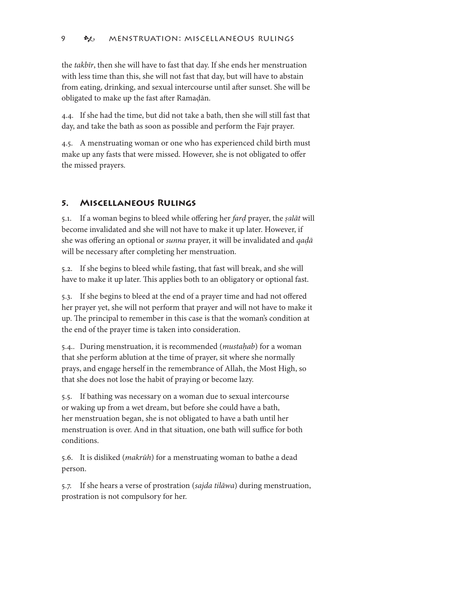the *takbīr*, then she will have to fast that day. If she ends her menstruation with less time than this, she will not fast that day, but will have to abstain from eating, drinking, and sexual intercourse until after sunset. She will be obligated to make up the fast after Ramaḍān.

4.4. If she had the time, but did not take a bath, then she will still fast that day, and take the bath as soon as possible and perform the Fajr prayer.

4.5. A menstruating woman or one who has experienced child birth must make up any fasts that were missed. However, she is not obligated to offer the missed prayers.

## **5. Miscellaneous Rulings**

5.. If a woman begins to bleed while offering her *farḍ* prayer, the *ṣalāt* will become invalidated and she will not have to make it up later. However, if she was offering an optional or *sunna* prayer, it will be invalidated and *qaḍā* will be necessary after completing her menstruation.

5.2. If she begins to bleed while fasting, that fast will break, and she will have to make it up later. This applies both to an obligatory or optional fast.

5.3. If she begins to bleed at the end of a prayer time and had not offered her prayer yet, she will not perform that prayer and will not have to make it up. The principal to remember in this case is that the woman's condition at the end of the prayer time is taken into consideration.

5.4.. During menstruation, it is recommended (*mustaḥab*) for a woman that she perform ablution at the time of prayer, sit where she normally prays, and engage herself in the remembrance of Allah, the Most High, so that she does not lose the habit of praying or become lazy.

5.5. If bathing was necessary on a woman due to sexual intercourse or waking up from a wet dream, but before she could have a bath, her menstruation began, she is not obligated to have a bath until her menstruation is over. And in that situation, one bath will suffice for both conditions.

5.6. It is disliked (*makrūh*) for a menstruating woman to bathe a dead person.

5.7. If she hears a verse of prostration (*sajda tilāwa*) during menstruation, prostration is not compulsory for her.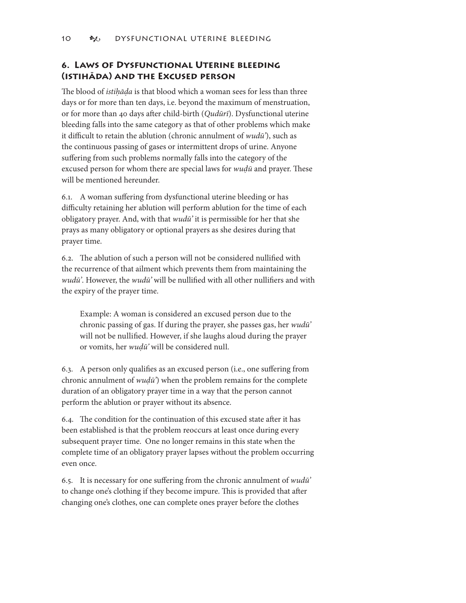## **6. Laws of Dysfunctional Uterine bleeding (istihāda) and the Excused person**

The blood of *istiḥāḍa* is that blood which a woman sees for less than three days or for more than ten days, i.e. beyond the maximum of menstruation, or for more than 40 days after child-birth (*Qudūrī*). Dysfunctional uterine bleeding falls into the same category as that of other problems which make it difficult to retain the ablution (chronic annulment of *wudū'*), such as the continuous passing of gases or intermittent drops of urine. Anyone suffering from such problems normally falls into the category of the excused person for whom there are special laws for *wuḍū* and prayer. These will be mentioned hereunder.

6.. A woman suffering from dysfunctional uterine bleeding or has difficulty retaining her ablution will perform ablution for the time of each obligatory prayer. And, with that *wudū'* it is permissible for her that she prays as many obligatory or optional prayers as she desires during that prayer time.

6.2. The ablution of such a person will not be considered nullified with the recurrence of that ailment which prevents them from maintaining the *wudū'*. However, the *wudū'* will be nullified with all other nullifiers and with the expiry of the prayer time.

Example: A woman is considered an excused person due to the chronic passing of gas. If during the prayer, she passes gas, her *wudū'* will not be nullified. However, if she laughs aloud during the prayer or vomits, her *wuḍū'* will be considered null.

6.3. A person only qualifies as an excused person (i.e., one suffering from chronic annulment of *wuḍū'*) when the problem remains for the complete duration of an obligatory prayer time in a way that the person cannot perform the ablution or prayer without its absence.

6.4. The condition for the continuation of this excused state after it has been established is that the problem reoccurs at least once during every subsequent prayer time. One no longer remains in this state when the complete time of an obligatory prayer lapses without the problem occurring even once.

6.5. It is necessary for one suffering from the chronic annulment of *wudū'* to change one's clothing if they become impure. This is provided that after changing one's clothes, one can complete ones prayer before the clothes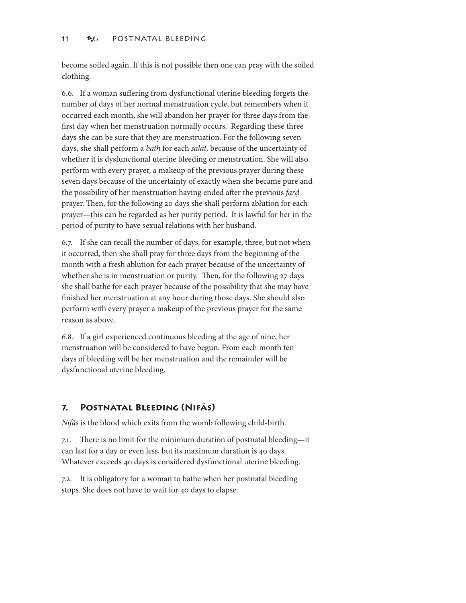become soiled again. If this is not possible then one can pray with the soiled clothing.

6.6. If a woman suffering from dysfunctional uterine bleeding forgets the number of days of her normal menstruation cycle, but remembers when it occurred each month, she will abandon her prayer for three days from the first day when her menstruation normally occurs. Regarding these three days she can be sure that they are menstruation. For the following seven days, she shall perform a *bath* for each *ṣalāt,* because of the uncertainty of whether it is dysfunctional uterine bleeding or menstruation. She will also perform with every prayer, a makeup of the previous prayer during these seven days because of the uncertainty of exactly when she became pure and the possibility of her menstruation having ended after the previous *farḍ* prayer. Then, for the following 20 days she shall perform ablution for each prayer—this can be regarded as her purity period. It is lawful for her in the period of purity to have sexual relations with her husband.

6.7. If she can recall the number of days, for example, three, but not when it occurred, then she shall pray for three days from the beginning of the month with a fresh ablution for each prayer because of the uncertainty of whether she is in menstruation or purity. Then, for the following 27 days she shall bathe for each prayer because of the possibility that she may have finished her menstruation at any hour during those days. She should also perform with every prayer a makeup of the previous prayer for the same reason as above.

6.8. If a girl experienced continuous bleeding at the age of nine, her menstruation will be considered to have begun. From each month ten days of bleeding will be her menstruation and the remainder will be dysfunctional uterine bleeding.

## **7. Postnatal Bleeding (Nifās)**

*Nifās* is the blood which exits from the womb following child-birth.

7.. There is no limit for the minimum duration of postnatal bleeding—it can last for a day or even less, but its maximum duration is 40 days. Whatever exceeds 40 days is considered dysfunctional uterine bleeding.

7.2. It is obligatory for a woman to bathe when her postnatal bleeding stops. She does not have to wait for 40 days to elapse.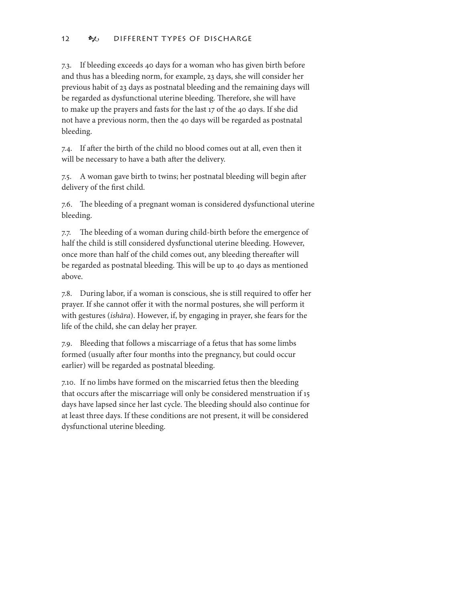7.3. If bleeding exceeds 40 days for a woman who has given birth before and thus has a bleeding norm, for example, 23 days, she will consider her previous habit of 23 days as postnatal bleeding and the remaining days will be regarded as dysfunctional uterine bleeding. Therefore, she will have to make up the prayers and fasts for the last 17 of the 40 days. If she did not have a previous norm, then the 40 days will be regarded as postnatal bleeding.

7.4. If after the birth of the child no blood comes out at all, even then it will be necessary to have a bath after the delivery.

7.5. A woman gave birth to twins; her postnatal bleeding will begin after delivery of the first child.

7.6. The bleeding of a pregnant woman is considered dysfunctional uterine bleeding.

7.7. The bleeding of a woman during child-birth before the emergence of half the child is still considered dysfunctional uterine bleeding. However, once more than half of the child comes out, any bleeding thereafter will be regarded as postnatal bleeding. This will be up to 40 days as mentioned above.

7.8. During labor, if a woman is conscious, she is still required to offer her prayer. If she cannot offer it with the normal postures, she will perform it with gestures (*ishāra*). However, if, by engaging in prayer, she fears for the life of the child, she can delay her prayer.

7.9. Bleeding that follows a miscarriage of a fetus that has some limbs formed (usually after four months into the pregnancy, but could occur earlier) will be regarded as postnatal bleeding.

7.0. If no limbs have formed on the miscarried fetus then the bleeding that occurs after the miscarriage will only be considered menstruation if 15 days have lapsed since her last cycle. The bleeding should also continue for at least three days. If these conditions are not present, it will be considered dysfunctional uterine bleeding.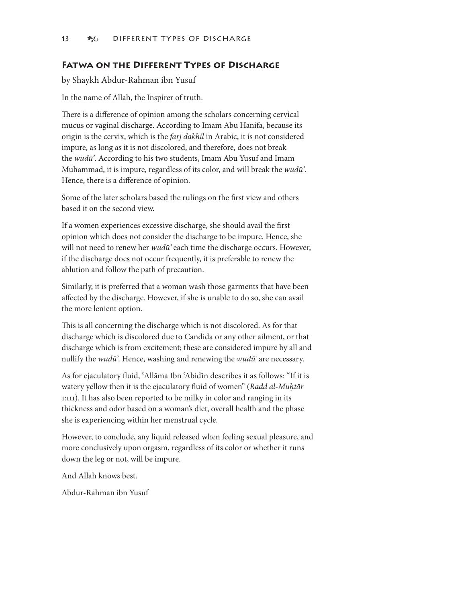#### **Fatwa on the Different Types of Discharge**

by Shaykh Abdur-Rahman ibn Yusuf

In the name of Allah, the Inspirer of truth.

There is a difference of opinion among the scholars concerning cervical mucus or vaginal discharge. According to Imam Abu Hanifa, because its origin is the cervix, which is the *farj dakhil* in Arabic, it is not considered impure, as long as it is not discolored, and therefore, does not break the *wudū'*. According to his two students, Imam Abu Yusuf and Imam Muhammad, it is impure, regardless of its color, and will break the *wudū'*. Hence, there is a difference of opinion.

Some of the later scholars based the rulings on the first view and others based it on the second view.

If a women experiences excessive discharge, she should avail the first opinion which does not consider the discharge to be impure. Hence, she will not need to renew her *wudū'* each time the discharge occurs. However, if the discharge does not occur frequently, it is preferable to renew the ablution and follow the path of precaution.

Similarly, it is preferred that a woman wash those garments that have been affected by the discharge. However, if she is unable to do so, she can avail the more lenient option.

This is all concerning the discharge which is not discolored. As for that discharge which is discolored due to Candida or any other ailment, or that discharge which is from excitement; these are considered impure by all and nullify the *wudū'*. Hence, washing and renewing the *wudū'* are necessary.

As for ejaculatory fluid, ʿAllāma Ibn ʿĀbidīn describes it as follows: "If it is watery yellow then it is the ejaculatory fluid of women" (*Radd al-Muḥtār* 1:111). It has also been reported to be milky in color and ranging in its thickness and odor based on a woman's diet, overall health and the phase she is experiencing within her menstrual cycle.

However, to conclude, any liquid released when feeling sexual pleasure, and more conclusively upon orgasm, regardless of its color or whether it runs down the leg or not, will be impure.

And Allah knows best.

Abdur-Rahman ibn Yusuf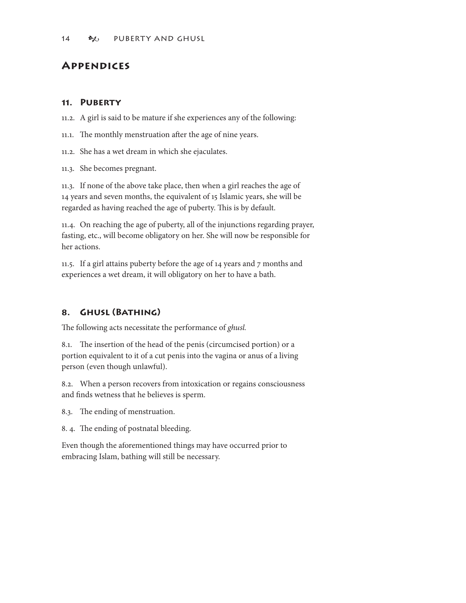# **Appendices**

#### **. Puberty**

.2. A girl is said to be mature if she experiences any of the following:

- 11.1. The monthly menstruation after the age of nine years.
- .2. She has a wet dream in which she ejaculates.
- .3. She becomes pregnant.

.3. If none of the above take place, then when a girl reaches the age of 14 years and seven months, the equivalent of 15 Islamic years, she will be regarded as having reached the age of puberty. This is by default.

.4. On reaching the age of puberty, all of the injunctions regarding prayer, fasting, etc., will become obligatory on her. She will now be responsible for her actions.

11.5. If a girl attains puberty before the age of 14 years and 7 months and experiences a wet dream, it will obligatory on her to have a bath.

## **8. Ghusl (Bathing)**

The following acts necessitate the performance of *ghusl.*

8.. The insertion of the head of the penis (circumcised portion) or a portion equivalent to it of a cut penis into the vagina or anus of a living person (even though unlawful).

8.2. When a person recovers from intoxication or regains consciousness and finds wetness that he believes is sperm.

8.3. The ending of menstruation.

8. 4. The ending of postnatal bleeding.

Even though the aforementioned things may have occurred prior to embracing Islam, bathing will still be necessary.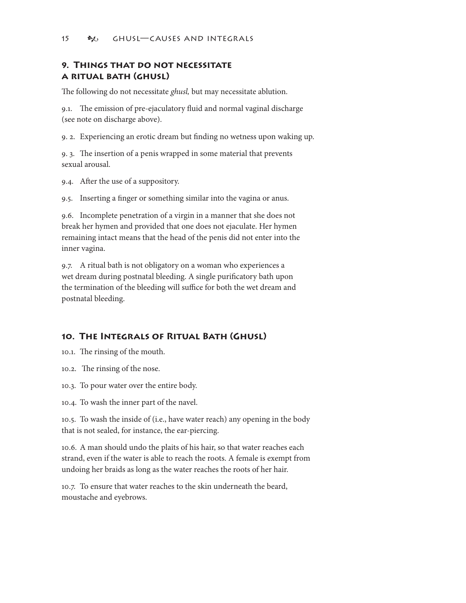## **9. Things that do not necessitate a ritual bath (ghusl)**

The following do not necessitate *ghusl,* but may necessitate ablution.

9.. The emission of pre-ejaculatory fluid and normal vaginal discharge (see note on discharge above).

9. 2. Experiencing an erotic dream but finding no wetness upon waking up.

9. 3. The insertion of a penis wrapped in some material that prevents sexual arousal.

9.4. After the use of a suppository.

9.5. Inserting a finger or something similar into the vagina or anus.

9.6. Incomplete penetration of a virgin in a manner that she does not break her hymen and provided that one does not ejaculate. Her hymen remaining intact means that the head of the penis did not enter into the inner vagina.

9.7. A ritual bath is not obligatory on a woman who experiences a wet dream during postnatal bleeding. A single purificatory bath upon the termination of the bleeding will suffice for both the wet dream and postnatal bleeding.

## **0. The Integrals of Ritual Bath (Ghusl)**

10.1. The rinsing of the mouth.

0.2. The rinsing of the nose.

0.3. To pour water over the entire body.

0.4. To wash the inner part of the navel.

0.5. To wash the inside of (i.e., have water reach) any opening in the body that is not sealed, for instance, the ear-piercing.

0.6. A man should undo the plaits of his hair, so that water reaches each strand, even if the water is able to reach the roots. A female is exempt from undoing her braids as long as the water reaches the roots of her hair.

0.7. To ensure that water reaches to the skin underneath the beard, moustache and eyebrows.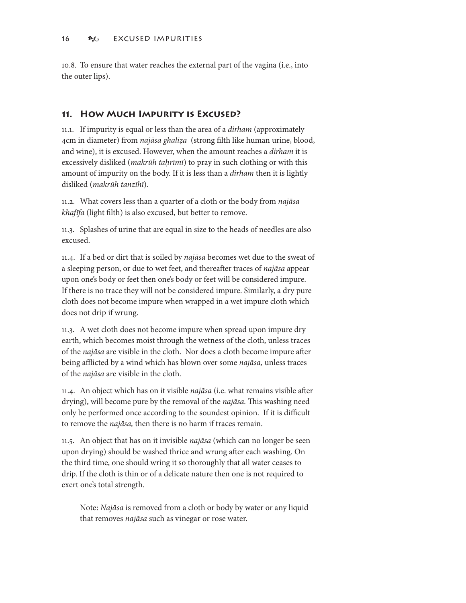0.8. To ensure that water reaches the external part of the vagina (i.e., into the outer lips).

## **. How Much Impurity is Excused?**

.. If impurity is equal or less than the area of a *dirham* (approximately 4cm in diameter) from *najāsa ghalīẓa* (strong filth like human urine, blood, and wine), it is excused. However, when the amount reaches a *dirham* it is excessively disliked (*makrūh taḥrīmī*) to pray in such clothing or with this amount of impurity on the body. If it is less than a *dirham* then it is lightly disliked (*makrūh tanzīhī*)*.*

.2. What covers less than a quarter of a cloth or the body from *najāsa khafīfa* (light filth) is also excused, but better to remove.

.3. Splashes of urine that are equal in size to the heads of needles are also excused.

.4. If a bed or dirt that is soiled by *najāsa* becomes wet due to the sweat of a sleeping person, or due to wet feet, and thereafter traces of *najāsa* appear upon one's body or feet then one's body or feet will be considered impure. If there is no trace they will not be considered impure. Similarly, a dry pure cloth does not become impure when wrapped in a wet impure cloth which does not drip if wrung.

.3. A wet cloth does not become impure when spread upon impure dry earth, which becomes moist through the wetness of the cloth, unless traces of the *najāsa* are visible in the cloth. Nor does a cloth become impure after being afflicted by a wind which has blown over some *najāsa,* unless traces of the *najāsa* are visible in the cloth.

.4. An object which has on it visible *najāsa* (i.e. what remains visible after drying), will become pure by the removal of the *najāsa.* This washing need only be performed once according to the soundest opinion. If it is difficult to remove the *najāsa,* then there is no harm if traces remain.

.5. An object that has on it invisible *najāsa* (which can no longer be seen upon drying) should be washed thrice and wrung after each washing. On the third time, one should wring it so thoroughly that all water ceases to drip. If the cloth is thin or of a delicate nature then one is not required to exert one's total strength.

Note: *Najāsa* is removed from a cloth or body by water or any liquid that removes *najāsa* such as vinegar or rose water.